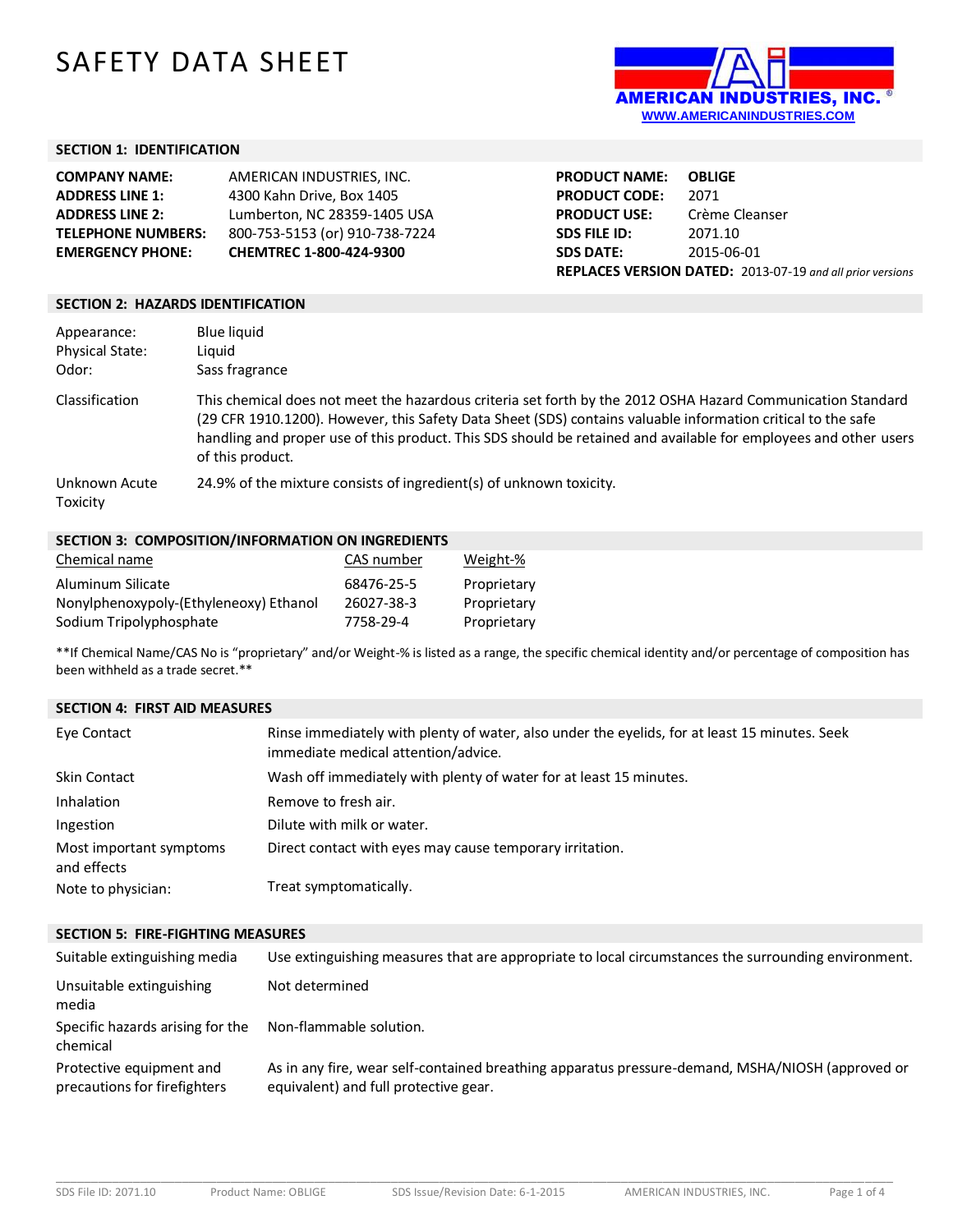# SAFETY DATA SHEET



## **SECTION 1: IDENTIFICATION**

| <b>COMPANY NAME:</b>      | AMERICAN INDUSTRIES. INC.      |
|---------------------------|--------------------------------|
| <b>ADDRESS LINE 1:</b>    | 4300 Kahn Drive, Box 1405      |
| <b>ADDRESS LINE 2:</b>    | Lumberton, NC 28359-1405 USA   |
| <b>TELEPHONE NUMBERS:</b> | 800-753-5153 (or) 910-738-7224 |
| <b>EMERGENCY PHONE:</b>   | CHEMTREC 1-800-424-9300        |

**PRODUCT NAME: OBLIGE PRODUCT CODE:** 2071 **PRODUCT USE:** Crème Cleanser **SDS FILE ID:** 2071.10 **SDS DATE:** 2015-06-01 **REPLACES VERSION DATED:** 2013-07-19 *and all prior versions*

#### **SECTION 2: HAZARDS IDENTIFICATION**

| Appearance:<br><b>Physical State:</b><br>Odor: | Blue liquid<br>Liauid<br>Sass fragrance                                                                                                                                                                                                                                                                                                                             |
|------------------------------------------------|---------------------------------------------------------------------------------------------------------------------------------------------------------------------------------------------------------------------------------------------------------------------------------------------------------------------------------------------------------------------|
| Classification                                 | This chemical does not meet the hazardous criteria set forth by the 2012 OSHA Hazard Communication Standard<br>(29 CFR 1910.1200). However, this Safety Data Sheet (SDS) contains valuable information critical to the safe<br>handling and proper use of this product. This SDS should be retained and available for employees and other users<br>of this product. |
| Unknown Acute<br>Toxicity                      | 24.9% of the mixture consists of ingredient(s) of unknown toxicity.                                                                                                                                                                                                                                                                                                 |

## **SECTION 3: COMPOSITION/INFORMATION ON INGREDIENTS**

| Chemical name                          | CAS number | Weight-%    |
|----------------------------------------|------------|-------------|
| Aluminum Silicate                      | 68476-25-5 | Proprietary |
| Nonylphenoxypoly-(Ethyleneoxy) Ethanol | 26027-38-3 | Proprietary |
| Sodium Tripolyphosphate                | 7758-29-4  | Proprietary |

\*\*If Chemical Name/CAS No is "proprietary" and/or Weight-% is listed as a range, the specific chemical identity and/or percentage of composition has been withheld as a trade secret.\*\*

#### **SECTION 4: FIRST AID MEASURES**

| Eye Contact                            | Rinse immediately with plenty of water, also under the eyelids, for at least 15 minutes. Seek<br>immediate medical attention/advice. |
|----------------------------------------|--------------------------------------------------------------------------------------------------------------------------------------|
| <b>Skin Contact</b>                    | Wash off immediately with plenty of water for at least 15 minutes.                                                                   |
| <b>Inhalation</b>                      | Remove to fresh air.                                                                                                                 |
| Ingestion                              | Dilute with milk or water.                                                                                                           |
| Most important symptoms<br>and effects | Direct contact with eyes may cause temporary irritation.                                                                             |
| Note to physician:                     | Treat symptomatically.                                                                                                               |

#### **SECTION 5: FIRE-FIGHTING MEASURES**

| Suitable extinguishing media                             | Use extinguishing measures that are appropriate to local circumstances the surrounding environment.                                       |
|----------------------------------------------------------|-------------------------------------------------------------------------------------------------------------------------------------------|
| Unsuitable extinguishing<br>media                        | Not determined                                                                                                                            |
| Specific hazards arising for the<br>chemical             | Non-flammable solution.                                                                                                                   |
| Protective equipment and<br>precautions for firefighters | As in any fire, wear self-contained breathing apparatus pressure-demand, MSHA/NIOSH (approved or<br>equivalent) and full protective gear. |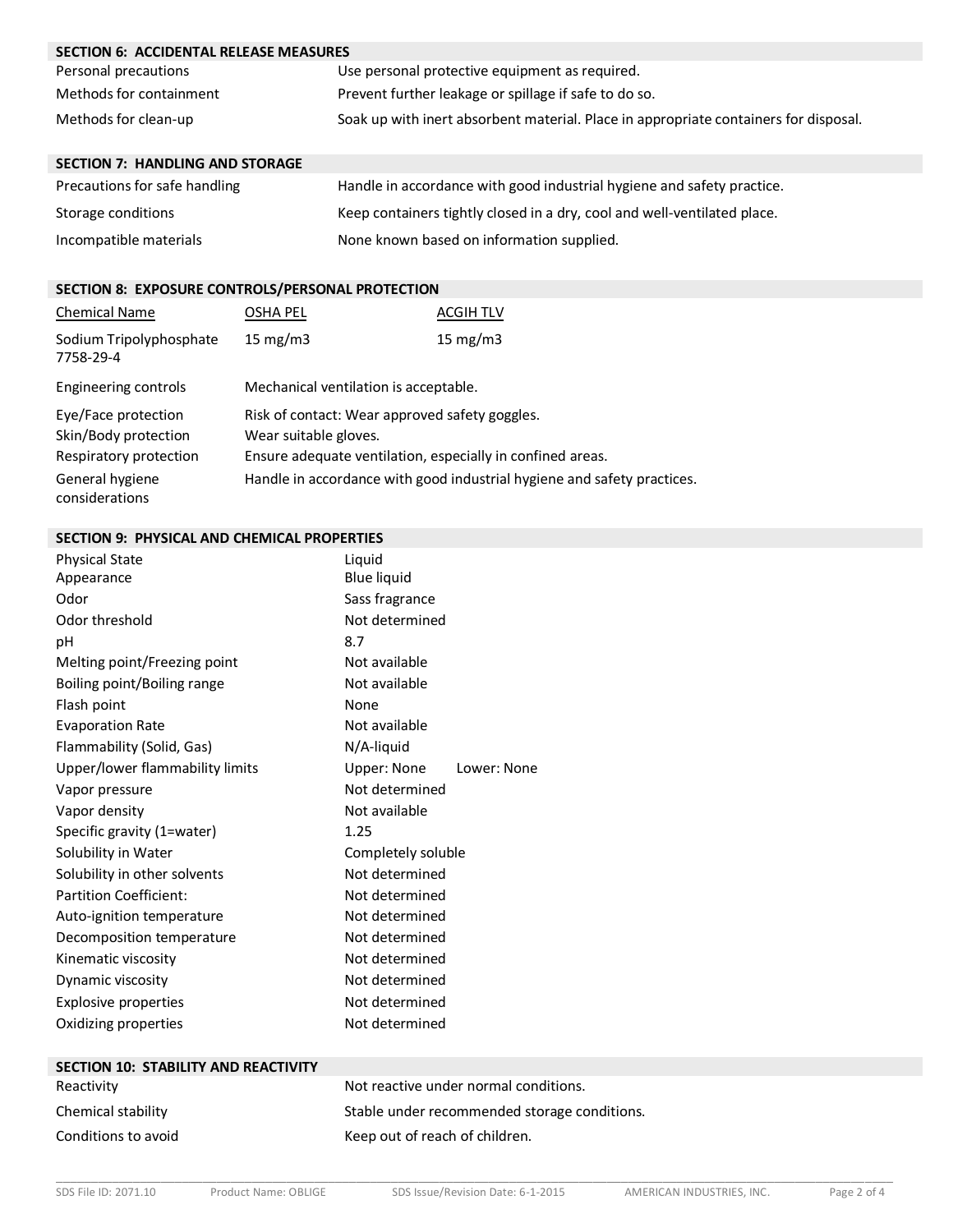| <b>SECTION 6: ACCIDENTAL RELEASE MEASURES</b> |                                                                                      |  |
|-----------------------------------------------|--------------------------------------------------------------------------------------|--|
| Personal precautions                          | Use personal protective equipment as required.                                       |  |
| Methods for containment                       | Prevent further leakage or spillage if safe to do so.                                |  |
| Methods for clean-up                          | Soak up with inert absorbent material. Place in appropriate containers for disposal. |  |
| <b>SECTION 7: HANDLING AND STORAGE</b>        |                                                                                      |  |
| Precautions for safe handling                 | Handle in accordance with good industrial hygiene and safety practice.               |  |
| Storage conditions                            | Keep containers tightly closed in a dry, cool and well-ventilated place.             |  |

| None known based on information supplied. |
|-------------------------------------------|
|                                           |

## **SECTION 8: EXPOSURE CONTROLS/PERSONAL PROTECTION**

| <b>Chemical Name</b>                                                  | OSHA PEL                                                                                                                              | <b>ACGIH TLV</b> |
|-----------------------------------------------------------------------|---------------------------------------------------------------------------------------------------------------------------------------|------------------|
| Sodium Tripolyphosphate<br>7758-29-4                                  | 15 $mg/m3$                                                                                                                            | 15 $mg/m3$       |
| Engineering controls                                                  | Mechanical ventilation is acceptable.                                                                                                 |                  |
| Eye/Face protection<br>Skin/Body protection<br>Respiratory protection | Risk of contact: Wear approved safety goggles.<br>Wear suitable gloves.<br>Ensure adequate ventilation, especially in confined areas. |                  |
| General hygiene<br>considerations                                     | Handle in accordance with good industrial hygiene and safety practices.                                                               |                  |

## **SECTION 9: PHYSICAL AND CHEMICAL PROPERTIES**

| <b>Physical State</b><br>Appearance<br>Odor<br>Odor threshold<br>рH<br>Melting point/Freezing point | Liguid<br><b>Blue liquid</b><br>Sass fragrance<br>Not determined<br>8.7<br>Not available |             |
|-----------------------------------------------------------------------------------------------------|------------------------------------------------------------------------------------------|-------------|
| Boiling point/Boiling range                                                                         | Not available                                                                            |             |
| Flash point                                                                                         | None                                                                                     |             |
| <b>Evaporation Rate</b>                                                                             | Not available                                                                            |             |
| Flammability (Solid, Gas)                                                                           | N/A-liquid                                                                               |             |
| Upper/lower flammability limits                                                                     | Upper: None                                                                              | Lower: None |
| Vapor pressure                                                                                      | Not determined                                                                           |             |
| Vapor density                                                                                       | Not available                                                                            |             |
| Specific gravity (1=water)                                                                          | 1.25                                                                                     |             |
| Solubility in Water                                                                                 | Completely soluble                                                                       |             |
| Solubility in other solvents                                                                        | Not determined                                                                           |             |
| <b>Partition Coefficient:</b>                                                                       | Not determined                                                                           |             |
| Auto-ignition temperature                                                                           | Not determined                                                                           |             |
| Decomposition temperature                                                                           | Not determined                                                                           |             |
| Kinematic viscosity                                                                                 | Not determined                                                                           |             |
| Dynamic viscosity                                                                                   | Not determined                                                                           |             |
| <b>Explosive properties</b>                                                                         | Not determined                                                                           |             |
| Oxidizing properties                                                                                | Not determined                                                                           |             |
| .                                                                                                   |                                                                                          |             |

| <b>SECTION 10: STABILITY AND REACTIVITY</b> |                                              |
|---------------------------------------------|----------------------------------------------|
| Reactivity                                  | Not reactive under normal conditions.        |
| Chemical stability                          | Stable under recommended storage conditions. |
| Conditions to avoid                         | Keep out of reach of children.               |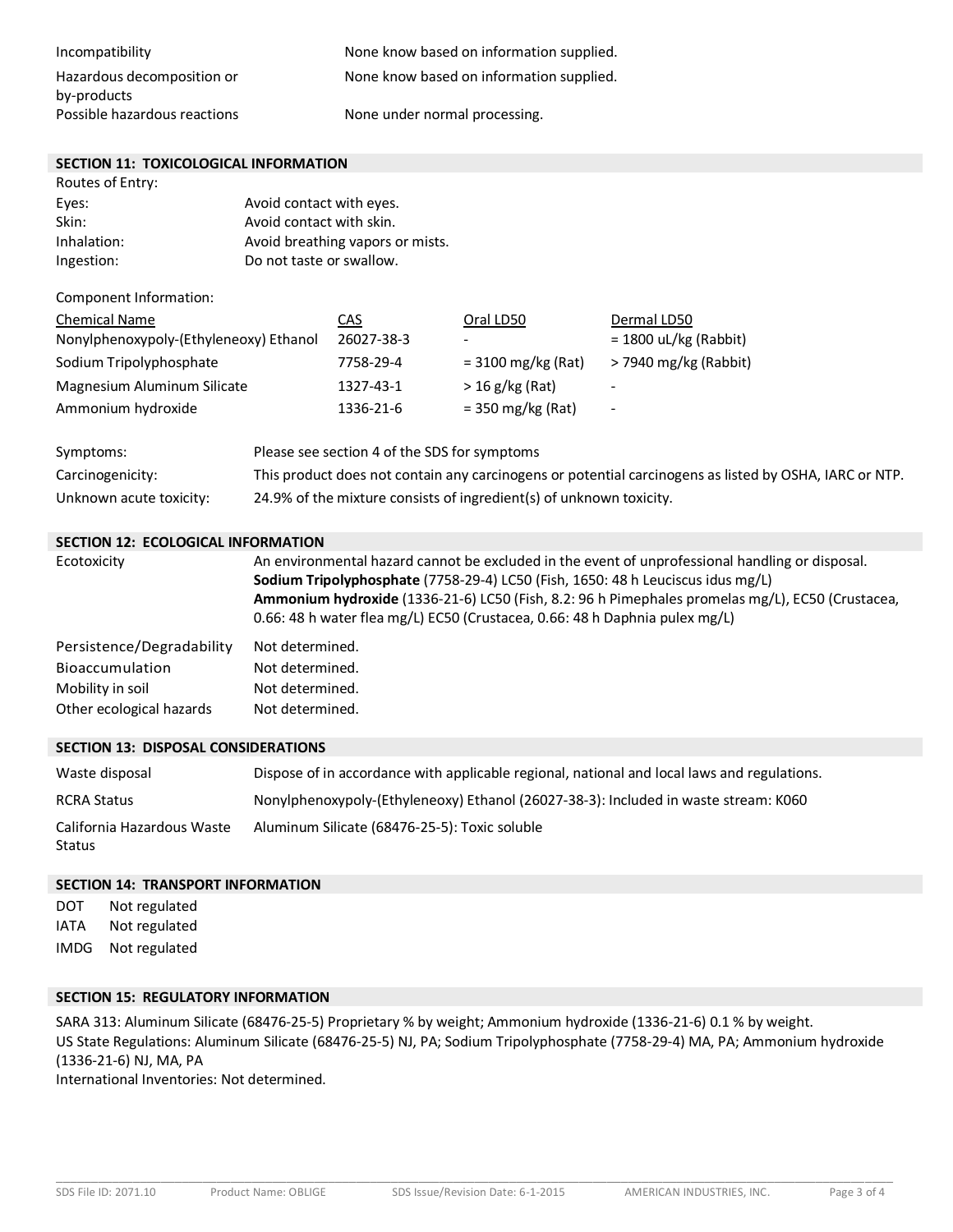| Incompatibility                           | None know based on information supplied. |
|-------------------------------------------|------------------------------------------|
| Hazardous decomposition or<br>by-products | None know based on information supplied. |
| Possible hazardous reactions              | None under normal processing.            |

#### **SECTION 11: TOXICOLOGICAL INFORMATION**

Routes of Entry:

| Eyes:       | Avoid contact with eyes.         |
|-------------|----------------------------------|
| Skin:       | Avoid contact with skin.         |
| Inhalation: | Avoid breathing vapors or mists. |
| Ingestion:  | Do not taste or swallow.         |

Component Information:

| <b>Chemical Name</b>                   | <u>CAS</u> | Oral LD50            | Dermal LD50              |
|----------------------------------------|------------|----------------------|--------------------------|
| Nonylphenoxypoly-(Ethyleneoxy) Ethanol | 26027-38-3 | -                    | $= 1800$ uL/kg (Rabbit)  |
| Sodium Tripolyphosphate                | 7758-29-4  | $= 3100$ mg/kg (Rat) | > 7940 mg/kg (Rabbit)    |
| Magnesium Aluminum Silicate            | 1327-43-1  | $>$ 16 g/kg (Rat)    | $\overline{\phantom{a}}$ |
| Ammonium hydroxide                     | 1336-21-6  | $=$ 350 mg/kg (Rat)  | $\overline{\phantom{a}}$ |

| Symptoms:               | Please see section 4 of the SDS for symptoms                                                           |
|-------------------------|--------------------------------------------------------------------------------------------------------|
| Carcinogenicity:        | This product does not contain any carcinogens or potential carcinogens as listed by OSHA, IARC or NTP. |
| Unknown acute toxicity: | 24.9% of the mixture consists of ingredient(s) of unknown toxicity.                                    |

#### **SECTION 12: ECOLOGICAL INFORMATION**

| Ecotoxicity               | An environmental hazard cannot be excluded in the event of unprofessional handling or disposal.<br>Sodium Tripolyphosphate (7758-29-4) LC50 (Fish, 1650: 48 h Leuciscus idus mg/L)<br>Ammonium hydroxide (1336-21-6) LC50 (Fish, 8.2: 96 h Pimephales promelas mg/L), EC50 (Crustacea,<br>0.66: 48 h water flea mg/L) EC50 (Crustacea, 0.66: 48 h Daphnia pulex mg/L) |
|---------------------------|-----------------------------------------------------------------------------------------------------------------------------------------------------------------------------------------------------------------------------------------------------------------------------------------------------------------------------------------------------------------------|
| Persistence/Degradability | Not determined.                                                                                                                                                                                                                                                                                                                                                       |
| Bioaccumulation           | Not determined.                                                                                                                                                                                                                                                                                                                                                       |
| Mobility in soil          | Not determined.                                                                                                                                                                                                                                                                                                                                                       |
| Other ecological hazards  | Not determined.                                                                                                                                                                                                                                                                                                                                                       |

## **SECTION 13: DISPOSAL CONSIDERATIONS**

| Waste disposal                       | Dispose of in accordance with applicable regional, national and local laws and regulations. |
|--------------------------------------|---------------------------------------------------------------------------------------------|
| <b>RCRA Status</b>                   | Nonylphenoxypoly-(Ethyleneoxy) Ethanol (26027-38-3): Included in waste stream: K060         |
| California Hazardous Waste<br>Status | Aluminum Silicate (68476-25-5): Toxic soluble                                               |

#### **SECTION 14: TRANSPORT INFORMATION**

DOT Not regulated IATA Not regulated IMDG Not regulated

## **SECTION 15: REGULATORY INFORMATION**

SARA 313: Aluminum Silicate (68476-25-5) Proprietary % by weight; Ammonium hydroxide (1336-21-6) 0.1 % by weight. US State Regulations: Aluminum Silicate (68476-25-5) NJ, PA; Sodium Tripolyphosphate (7758-29-4) MA, PA; Ammonium hydroxide (1336-21-6) NJ, MA, PA

International Inventories: Not determined.